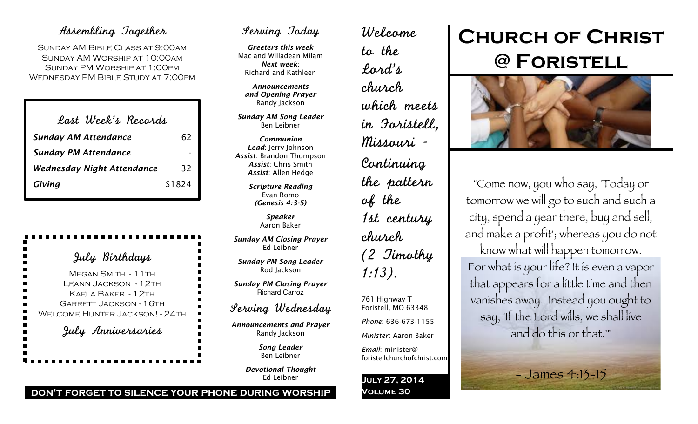### Assembling Together

Sunday AM Bible Class at 9:00am Sunday AM Worship at 10:00am Sunday PM Worship at 1:00pm Wednesday PM Bible Study at 7:00pm

| Last Week's Records         |        |
|-----------------------------|--------|
| <b>Sunday AM Attendance</b> | 62     |
| <b>Sunday PM Attendance</b> |        |
| Wednesday Night Attendance  | 32     |
| Giving                      | \$1824 |

## July Birthdays

MEGAN SMITH - 11TH Leann Jackson - 12th Kaela Baker - 12th Garrett Jackson - 16th WELCOME HUNTER JACKSON! - 24TH

July Anniversaries

## Serving Today

*Greeters this week* Mac and Willadean Milam *Next week*: Richard and Kathleen

*Announcements and Opening Prayer* Randy Jackson

*Sunday AM Song Leader* Ben Leibner

*Communion Lead*: Jerry Johnson *Assist*: Brandon Thompson *Assist*: Chris Smith *Assist*: Allen Hedge

> *Scripture Reading* Evan Romo *(Genesis 4:3-5)*

> > *Speaker* Aaron Baker

*Sunday AM Closing Prayer* Ed Leibner

*Sunday PM Song Leader* Rod Jackson

*Sunday PM Closing Prayer* Richard Carroz

Serving Wednesday

*Announcements and Prayer* Randy Jackson

> *Song Leader* Ben Leibner

*Devotional Thought* Ed Leibner

Welcome to the Lord's church which meets in Foristell, Missouri - Continuing the pattern of the 1st century church (2 Timothy 1:13). 761 Highway T Foristell, MO 63348 *Phone*: 636-673-1155

*Minister*: Aaron Baker

*Email*: minister@ foristellchurchofchrist.com

**July 27, 2014 Volume 30**

# **Church of Christ @ Foristell**



"Come now, you who say, 'Today or tomorrow we will go to such and such a city, spend a year there, buy and sell, and make a profit'; whereas you do not know what will happen tomorrow. For what is your life? It is even a vapor that appears for a little time and then vanishes away. Instead you ought to say, 'If the Lord wills, we shall live and do this or that.'"

 $-$  James 4:13-15

**don't forget to silence your phone during worship**